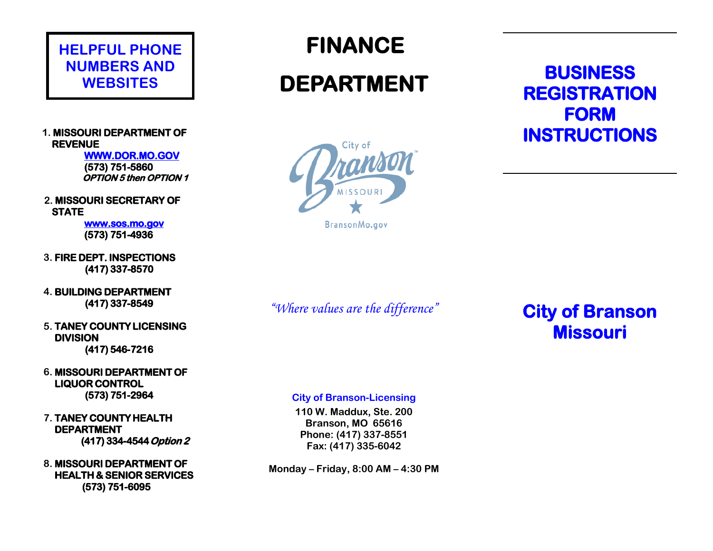### **HELPFUL PHONE NUMBERS AND WEBSITES**

#### **1. MISSOURI DEPARTMENT OF REVENUE**

**WWW.DOR.MO.GOV (573) 751-5860 OPTION 5 then OPTION 1** 

**2. MISSOURI SECRETARY OF STATE**

> **[www.sos.mo.gov](http://www.sos.mo.gov/)  (573) 751-4936**

- **3. FIRE DEPT. INSPECTIONS (417) 337-8570**
- **4. BUILDING DEPARTMENT (417) 337-8549**
- **5. TANEY COUNTY LICENSING DIVISION (417) 546-7216**
- **6. MISSOURI DEPARTMENT OF LIQUOR CONTROL (573) 751-2964**
- **7. TANEY COUNTY HEALTH DEPARTMENT (417) 334-4544 Option 2**
- **8. MISSOURI DEPARTMENT OF HEALTH & SENIOR SERVICES (573) 751-6095**

 **FINANCE** 

# **DEPARTMENT**



BransonMo.gov

### **BUSINESS REGISTRATION FORM INSTRUCTIONS**

*"Where values are the difference"*

**City of Branson Missouri** 

**City of Branson-Licensing**

**110 W. Maddux, Ste. 200 Branson, MO 65616 Phone: (417) 337-8551 Fax: (417) 335-6042**

**Monday – Friday, 8:00 AM – 4:30 PM**